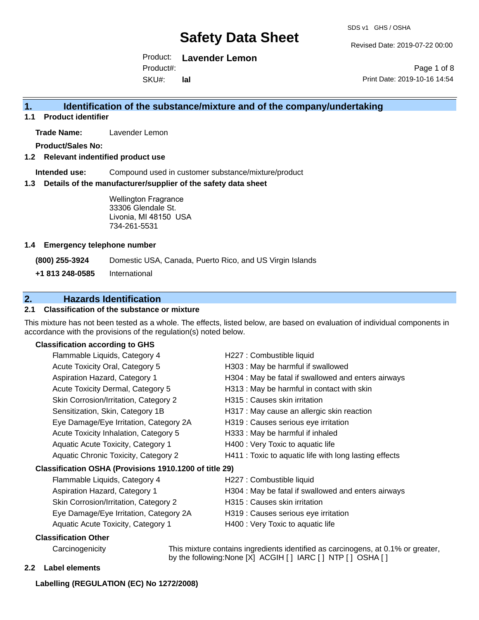Revised Date: 2019-07-22 00:00

Product: **Lavender Lemon** SKU#: Product#: **lal**

Page 1 of 8 Print Date: 2019-10-16 14:54

#### **1. Identification of the substance/mixture and of the company/undertaking**

**1.1 Product identifier**

**Trade Name:** Lavender Lemon

**Product/Sales No:**

**1.2 Relevant indentified product use**

**Intended use:** Compound used in customer substance/mixture/product

**1.3 Details of the manufacturer/supplier of the safety data sheet**

Wellington Fragrance 33306 Glendale St. Livonia, MI 48150 USA 734-261-5531

#### **1.4 Emergency telephone number**

**(800) 255-3924** Domestic USA, Canada, Puerto Rico, and US Virgin Islands

**+1 813 248-0585** International

#### **2. Hazards Identification**

#### **2.1 Classification of the substance or mixture**

This mixture has not been tested as a whole. The effects, listed below, are based on evaluation of individual components in accordance with the provisions of the regulation(s) noted below.

#### **Classification according to GHS**

| H227 : Combustible liquid                              |
|--------------------------------------------------------|
| H303 : May be harmful if swallowed                     |
| H304 : May be fatal if swallowed and enters airways    |
| H313 : May be harmful in contact with skin             |
| H315 : Causes skin irritation                          |
| H317 : May cause an allergic skin reaction             |
| H319 : Causes serious eye irritation                   |
| H333: May be harmful if inhaled                        |
| H400 : Very Toxic to aquatic life                      |
| H411 : Toxic to aquatic life with long lasting effects |
| Classification OSHA (Provisions 1910.1200 of title 29) |
| H227 : Combustible liquid                              |
| H304 : May be fatal if swallowed and enters airways    |
| H315 : Causes skin irritation                          |
| H319 : Causes serious eye irritation                   |
| H400 : Very Toxic to aquatic life                      |
|                                                        |
|                                                        |

Carcinogenicity This mixture contains ingredients identified as carcinogens, at 0.1% or greater, by the following:None [X] ACGIH [ ] IARC [ ] NTP [ ] OSHA [ ]

#### **2.2 Label elements**

#### **Labelling (REGULATION (EC) No 1272/2008)**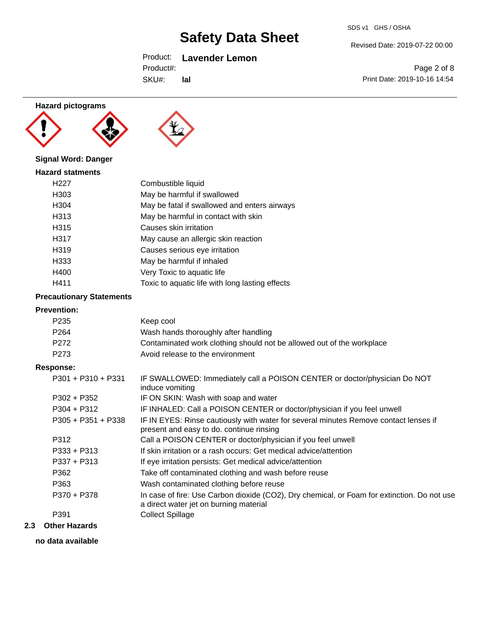### Product: **Lavender Lemon**

| Product#: |
|-----------|
|           |

SKU#: **lal**

# Revised Date: 2019-07-22 00:00

Page 2 of 8 Print Date: 2019-10-16 14:54

#### **Hazard pictograms**





### **Signal Word: Danger**

| <b>Hazard statments</b> |                                                 |
|-------------------------|-------------------------------------------------|
| H <sub>22</sub> 7       | Combustible liquid                              |
| H303                    | May be harmful if swallowed                     |
| H304                    | May be fatal if swallowed and enters airways    |
| H313                    | May be harmful in contact with skin             |
| H315                    | Causes skin irritation                          |
| H317                    | May cause an allergic skin reaction             |
| H319                    | Causes serious eye irritation                   |
| H333                    | May be harmful if inhaled                       |
| H400                    | Very Toxic to aquatic life                      |
| H411                    | Toxic to aquatic life with long lasting effects |

#### **Precautionary Statements**

#### **Prevention:**

| P <sub>235</sub>     | Keep cool                                                                                                                             |
|----------------------|---------------------------------------------------------------------------------------------------------------------------------------|
| P <sub>264</sub>     | Wash hands thoroughly after handling                                                                                                  |
| P272                 | Contaminated work clothing should not be allowed out of the workplace                                                                 |
| P <sub>273</sub>     | Avoid release to the environment                                                                                                      |
| <b>Response:</b>     |                                                                                                                                       |
| $P301 + P310 + P331$ | IF SWALLOWED: Immediately call a POISON CENTER or doctor/physician Do NOT<br>induce vomiting                                          |
| $P302 + P352$        | IF ON SKIN: Wash with soap and water                                                                                                  |
| $P304 + P312$        | IF INHALED: Call a POISON CENTER or doctor/physician if you feel unwell                                                               |
| $P305 + P351 + P338$ | IF IN EYES: Rinse cautiously with water for several minutes Remove contact lenses if<br>present and easy to do. continue rinsing      |
| P312                 | Call a POISON CENTER or doctor/physician if you feel unwell                                                                           |
| $P333 + P313$        | If skin irritation or a rash occurs: Get medical advice/attention                                                                     |
| $P337 + P313$        | If eye irritation persists: Get medical advice/attention                                                                              |
| P362                 | Take off contaminated clothing and wash before reuse                                                                                  |
| P363                 | Wash contaminated clothing before reuse                                                                                               |
| P370 + P378          | In case of fire: Use Carbon dioxide (CO2), Dry chemical, or Foam for extinction. Do not use<br>a direct water jet on burning material |
| P391                 | <b>Collect Spillage</b>                                                                                                               |
|                      |                                                                                                                                       |

#### **2.3 Other Hazards**

**no data available**

SDS v1 GHS / OSHA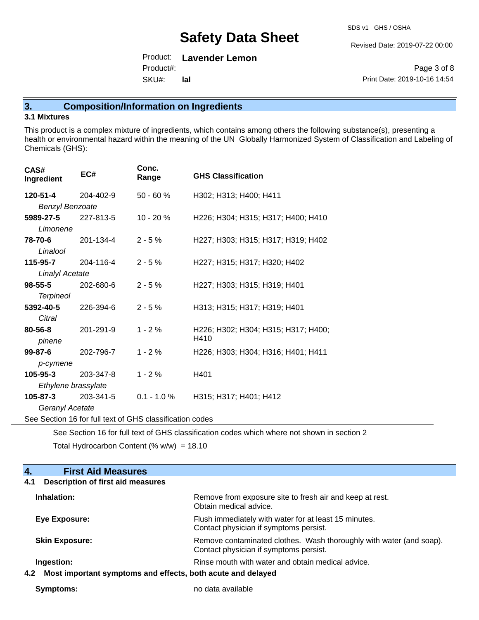Revised Date: 2019-07-22 00:00

Product: **Lavender Lemon** SKU#: Product#: **lal**

Page 3 of 8 Print Date: 2019-10-16 14:54

### **3. Composition/Information on Ingredients**

#### **3.1 Mixtures**

This product is a complex mixture of ingredients, which contains among others the following substance(s), presenting a health or environmental hazard within the meaning of the UN Globally Harmonized System of Classification and Labeling of Chemicals (GHS):

| CAS#<br>Ingredient     | EC#                                                      | Conc.<br>Range | <b>GHS Classification</b>           |
|------------------------|----------------------------------------------------------|----------------|-------------------------------------|
| 120-51-4               | 204-402-9                                                | $50 - 60%$     | H302; H313; H400; H411              |
| <b>Benzyl Benzoate</b> |                                                          |                |                                     |
| 5989-27-5<br>Limonene  | 227-813-5                                                | $10 - 20%$     | H226; H304; H315; H317; H400; H410  |
| 78-70-6<br>Linalool    | 201-134-4                                                | $2 - 5%$       | H227; H303; H315; H317; H319; H402  |
| 115-95-7               | 204-116-4                                                | $2 - 5%$       | H227; H315; H317; H320; H402        |
| <b>Linalyl Acetate</b> |                                                          |                |                                     |
| $98 - 55 - 5$          | 202-680-6                                                | $2 - 5%$       | H227; H303; H315; H319; H401        |
| <b>Terpineol</b>       |                                                          |                |                                     |
| 5392-40-5              | 226-394-6                                                | $2 - 5%$       | H313; H315; H317; H319; H401        |
| Citral                 |                                                          |                |                                     |
| 80-56-8                | 201-291-9                                                | $1 - 2%$       | H226; H302; H304; H315; H317; H400; |
| pinene                 |                                                          |                | H410                                |
| $99 - 87 - 6$          | 202-796-7                                                | $1 - 2%$       | H226; H303; H304; H316; H401; H411  |
| p-cymene               |                                                          |                |                                     |
| $105 - 95 - 3$         | 203-347-8                                                | $1 - 2%$       | H401                                |
| Ethylene brassylate    |                                                          |                |                                     |
| 105-87-3               | 203-341-5                                                | $0.1 - 1.0 %$  | H315; H317; H401; H412              |
| Geranyl Acetate        |                                                          |                |                                     |
|                        | See Section 16 for full text of GHS classification codes |                |                                     |

See Section 16 for full text of GHS classification codes which where not shown in section 2

Total Hydrocarbon Content (%  $w/w$ ) = 18.10

| 4.<br><b>First Aid Measures</b>                                    |                                                                                                               |
|--------------------------------------------------------------------|---------------------------------------------------------------------------------------------------------------|
| Description of first aid measures<br>4.1                           |                                                                                                               |
| Inhalation:                                                        | Remove from exposure site to fresh air and keep at rest.<br>Obtain medical advice.                            |
| Eye Exposure:                                                      | Flush immediately with water for at least 15 minutes.<br>Contact physician if symptoms persist.               |
| <b>Skin Exposure:</b>                                              | Remove contaminated clothes. Wash thoroughly with water (and soap).<br>Contact physician if symptoms persist. |
| Ingestion:                                                         | Rinse mouth with water and obtain medical advice.                                                             |
| Most important symptoms and effects, both acute and delayed<br>4.2 |                                                                                                               |

**Symptoms:** no data available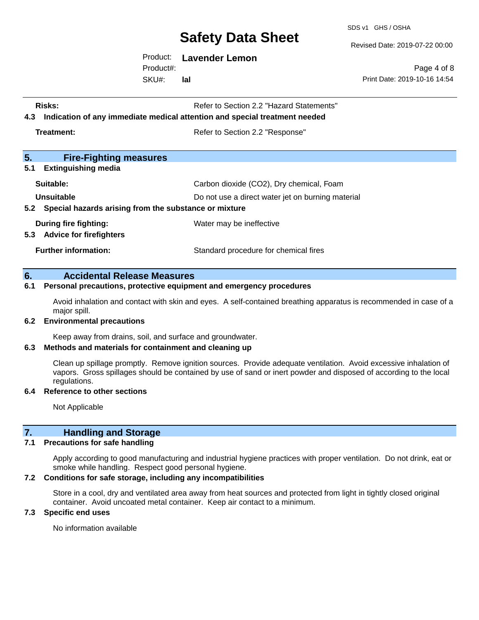SDS v1 GHS / OSHA

Revised Date: 2019-07-22 00:00

Product: **Lavender Lemon**

SKU#: Product#: **lal**

Page 4 of 8 Print Date: 2019-10-16 14:54

| Risks:<br>Indication of any immediate medical attention and special treatment needed<br>4.3 | Refer to Section 2.2 "Hazard Statements"          |  |
|---------------------------------------------------------------------------------------------|---------------------------------------------------|--|
| Treatment:                                                                                  | Refer to Section 2.2 "Response"                   |  |
| 5.<br><b>Fire-Fighting measures</b>                                                         |                                                   |  |
| 5.1<br><b>Extinguishing media</b>                                                           |                                                   |  |
| Suitable:                                                                                   | Carbon dioxide (CO2), Dry chemical, Foam          |  |
| Unsuitable                                                                                  | Do not use a direct water jet on burning material |  |
| 5.2 Special hazards arising from the substance or mixture                                   |                                                   |  |
| During fire fighting:<br>5.3<br><b>Advice for firefighters</b>                              | Water may be ineffective                          |  |
| <b>Further information:</b>                                                                 | Standard procedure for chemical fires             |  |

#### **6. Accidental Release Measures**

#### **6.1 Personal precautions, protective equipment and emergency procedures**

Avoid inhalation and contact with skin and eyes. A self-contained breathing apparatus is recommended in case of a major spill.

#### **6.2 Environmental precautions**

Keep away from drains, soil, and surface and groundwater.

#### **6.3 Methods and materials for containment and cleaning up**

Clean up spillage promptly. Remove ignition sources. Provide adequate ventilation. Avoid excessive inhalation of vapors. Gross spillages should be contained by use of sand or inert powder and disposed of according to the local regulations.

#### **6.4 Reference to other sections**

Not Applicable

#### **7. Handling and Storage**

#### **7.1 Precautions for safe handling**

Apply according to good manufacturing and industrial hygiene practices with proper ventilation. Do not drink, eat or smoke while handling. Respect good personal hygiene.

#### **7.2 Conditions for safe storage, including any incompatibilities**

Store in a cool, dry and ventilated area away from heat sources and protected from light in tightly closed original container. Avoid uncoated metal container. Keep air contact to a minimum.

#### **7.3 Specific end uses**

No information available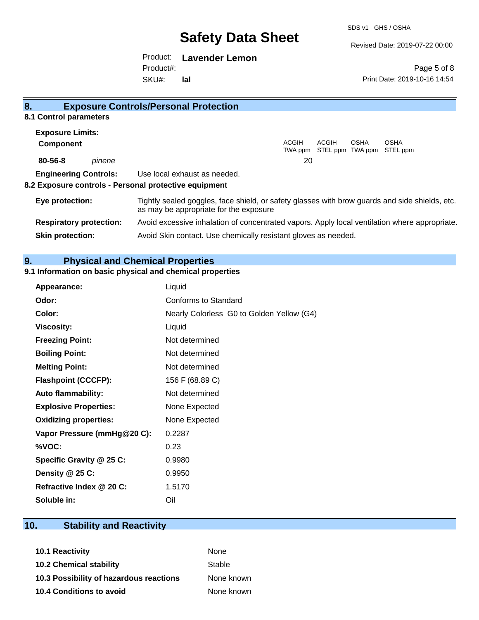SDS v1 GHS / OSHA

Revised Date: 2019-07-22 00:00

Print Date: 2019-10-16 14:54

Page 5 of 8

Product: **Lavender Lemon** Product#:

SKU#: **lal**

| 8.                                                    | <b>Exposure Controls/Personal Protection</b>                                                                                             |
|-------------------------------------------------------|------------------------------------------------------------------------------------------------------------------------------------------|
| 8.1 Control parameters                                |                                                                                                                                          |
| <b>Exposure Limits:</b>                               |                                                                                                                                          |
| <b>Component</b>                                      | ACGIH<br>ACGIH<br><b>OSHA</b><br>OSHA<br>STEL ppm TWA ppm STEL ppm<br>TWA ppm                                                            |
| 80-56-8<br>pinene                                     | 20                                                                                                                                       |
| <b>Engineering Controls:</b>                          | Use local exhaust as needed.                                                                                                             |
| 8.2 Exposure controls - Personal protective equipment |                                                                                                                                          |
| Eye protection:                                       | Tightly sealed goggles, face shield, or safety glasses with brow guards and side shields, etc.<br>as may be appropriate for the exposure |
| <b>Respiratory protection:</b>                        | Avoid excessive inhalation of concentrated vapors. Apply local ventilation where appropriate.                                            |
| <b>Skin protection:</b>                               | Avoid Skin contact. Use chemically resistant gloves as needed.                                                                           |

### **9. Physical and Chemical Properties**

### **9.1 Information on basic physical and chemical properties**

| Appearance:                  | Liquid                                    |
|------------------------------|-------------------------------------------|
| Odor:                        | Conforms to Standard                      |
| Color:                       | Nearly Colorless G0 to Golden Yellow (G4) |
| <b>Viscosity:</b>            | Liquid                                    |
| <b>Freezing Point:</b>       | Not determined                            |
| <b>Boiling Point:</b>        | Not determined                            |
| <b>Melting Point:</b>        | Not determined                            |
| <b>Flashpoint (CCCFP):</b>   | 156 F (68.89 C)                           |
| <b>Auto flammability:</b>    | Not determined                            |
| <b>Explosive Properties:</b> | None Expected                             |
| <b>Oxidizing properties:</b> | None Expected                             |
| Vapor Pressure (mmHg@20 C):  | 0.2287                                    |
| %VOC:                        | 0.23                                      |
| Specific Gravity @ 25 C:     | 0.9980                                    |
| Density @ 25 C:              | 0.9950                                    |
| Refractive Index @ 20 C:     | 1.5170                                    |
| Soluble in:                  | Oil                                       |

### **10. Stability and Reactivity**

| <b>10.1 Reactivity</b>                  | <b>None</b> |
|-----------------------------------------|-------------|
| <b>10.2 Chemical stability</b>          | Stable      |
| 10.3 Possibility of hazardous reactions | None known  |
| <b>10.4 Conditions to avoid</b>         | None known  |
|                                         |             |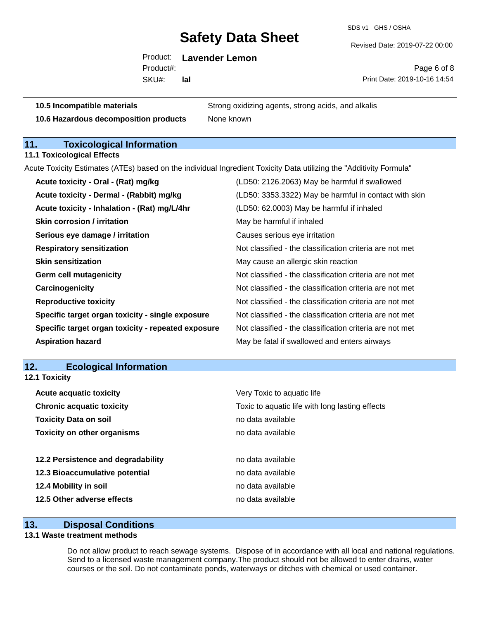SDS v1 GHS / OSHA

Revised Date: 2019-07-22 00:00

Product: **Lavender Lemon**

SKU#: Product#: **lal**

Page 6 of 8 Print Date: 2019-10-16 14:54

**10.5 Incompatible materials** Strong oxidizing agents, strong acids, and alkalis

**10.6 Hazardous decomposition products** None known

### **11. Toxicological Information**

**11.1 Toxicological Effects**

Acute Toxicity Estimates (ATEs) based on the individual Ingredient Toxicity Data utilizing the "Additivity Formula"

| Acute toxicity - Oral - (Rat) mg/kg                | (LD50: 2126.2063) May be harmful if swallowed            |
|----------------------------------------------------|----------------------------------------------------------|
| Acute toxicity - Dermal - (Rabbit) mg/kg           | (LD50: 3353.3322) May be harmful in contact with skin    |
| Acute toxicity - Inhalation - (Rat) mg/L/4hr       | (LD50: 62.0003) May be harmful if inhaled                |
| <b>Skin corrosion / irritation</b>                 | May be harmful if inhaled                                |
| Serious eye damage / irritation                    | Causes serious eye irritation                            |
| <b>Respiratory sensitization</b>                   | Not classified - the classification criteria are not met |
| <b>Skin sensitization</b>                          | May cause an allergic skin reaction                      |
| <b>Germ cell mutagenicity</b>                      | Not classified - the classification criteria are not met |
| Carcinogenicity                                    | Not classified - the classification criteria are not met |
| <b>Reproductive toxicity</b>                       | Not classified - the classification criteria are not met |
| Specific target organ toxicity - single exposure   | Not classified - the classification criteria are not met |
| Specific target organ toxicity - repeated exposure | Not classified - the classification criteria are not met |
| <b>Aspiration hazard</b>                           | May be fatal if swallowed and enters airways             |

#### **12. Ecological Information**

| 12.1 Toxicity                      |                                                 |  |
|------------------------------------|-------------------------------------------------|--|
| <b>Acute acquatic toxicity</b>     | Very Toxic to aquatic life                      |  |
| <b>Chronic acquatic toxicity</b>   | Toxic to aquatic life with long lasting effects |  |
| <b>Toxicity Data on soil</b>       | no data available                               |  |
| <b>Toxicity on other organisms</b> | no data available                               |  |
| 12.2 Persistence and degradability | no data available                               |  |
| 12.3 Bioaccumulative potential     | no data available                               |  |
| 12.4 Mobility in soil              | no data available                               |  |
| 12.5 Other adverse effects         | no data available                               |  |

#### **13. Disposal Conditions**

#### **13.1 Waste treatment methods**

Do not allow product to reach sewage systems. Dispose of in accordance with all local and national regulations. Send to a licensed waste management company.The product should not be allowed to enter drains, water courses or the soil. Do not contaminate ponds, waterways or ditches with chemical or used container.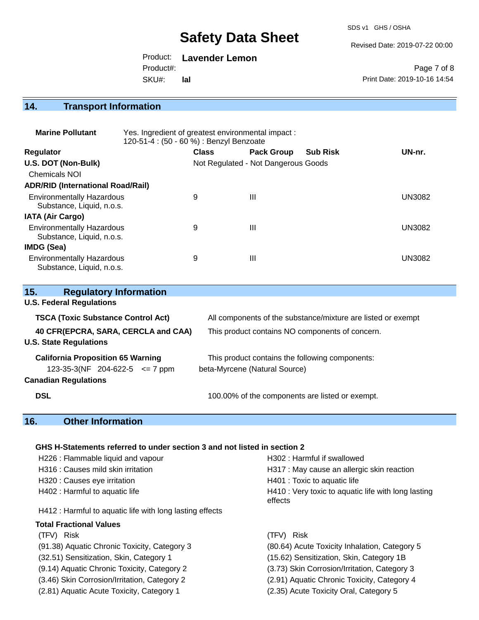SDS v1 GHS / OSHA

Revised Date: 2019-07-22 00:00

Product: **Lavender Lemon** Product#:

SKU#: **lal**

Page 7 of 8 Print Date: 2019-10-16 14:54

### **14. Transport Information**

| <b>Marine Pollutant</b>                                       | Yes. Ingredient of greatest environmental impact:<br>120-51-4 : (50 - 60 %) : Benzyl Benzoate |              |                                     |                 |        |
|---------------------------------------------------------------|-----------------------------------------------------------------------------------------------|--------------|-------------------------------------|-----------------|--------|
| <b>Regulator</b>                                              |                                                                                               | <b>Class</b> | <b>Pack Group</b>                   | <b>Sub Risk</b> | UN-nr. |
| U.S. DOT (Non-Bulk)                                           |                                                                                               |              | Not Regulated - Not Dangerous Goods |                 |        |
| <b>Chemicals NOI</b>                                          |                                                                                               |              |                                     |                 |        |
| <b>ADR/RID (International Road/Rail)</b>                      |                                                                                               |              |                                     |                 |        |
| <b>Environmentally Hazardous</b><br>Substance, Liquid, n.o.s. |                                                                                               | 9            | $\mathbf{III}$                      |                 | UN3082 |
| <b>IATA (Air Cargo)</b>                                       |                                                                                               |              |                                     |                 |        |
| <b>Environmentally Hazardous</b><br>Substance, Liquid, n.o.s. |                                                                                               | 9            | $\mathbf{III}$                      |                 | UN3082 |
| IMDG (Sea)                                                    |                                                                                               |              |                                     |                 |        |
| <b>Environmentally Hazardous</b><br>Substance, Liquid, n.o.s. |                                                                                               | 9            | Ш                                   |                 | UN3082 |

| 15.<br><b>Regulatory Information</b>                                 |                                                              |  |  |
|----------------------------------------------------------------------|--------------------------------------------------------------|--|--|
| <b>U.S. Federal Regulations</b>                                      |                                                              |  |  |
| <b>TSCA (Toxic Substance Control Act)</b>                            | All components of the substance/mixture are listed or exempt |  |  |
| 40 CFR(EPCRA, SARA, CERCLA and CAA)<br><b>U.S. State Regulations</b> | This product contains NO components of concern.              |  |  |
| <b>California Proposition 65 Warning</b>                             | This product contains the following components:              |  |  |
| 123-35-3(NF 204-622-5 $\leq$ 7 ppm                                   | beta-Myrcene (Natural Source)                                |  |  |
| <b>Canadian Regulations</b>                                          |                                                              |  |  |
| <b>DSL</b>                                                           | 100.00% of the components are listed or exempt.              |  |  |

### **16. Other Information**

#### **GHS H-Statements referred to under section 3 and not listed in section 2**

| H226 : Flammable liquid and vapour                       | H302: Harmful if swallowed                                     |  |  |
|----------------------------------------------------------|----------------------------------------------------------------|--|--|
| H316 : Causes mild skin irritation                       | H317 : May cause an allergic skin reaction                     |  |  |
| H320 : Causes eye irritation                             | H401 : Toxic to aquatic life                                   |  |  |
| H402 : Harmful to aquatic life                           | H410 : Very toxic to aquatic life with long lasting<br>effects |  |  |
| H412 : Harmful to aquatic life with long lasting effects |                                                                |  |  |
| <b>Total Fractional Values</b>                           |                                                                |  |  |
| <b>Risk</b><br>(TFV)                                     | (TFV) Risk                                                     |  |  |
| (91.38) Aquatic Chronic Toxicity, Category 3             | (80.64) Acute Toxicity Inhalation, Category 5                  |  |  |
| (32.51) Sensitization, Skin, Category 1                  | (15.62) Sensitization, Skin, Category 1B                       |  |  |
| (9.14) Aquatic Chronic Toxicity, Category 2              | (3.73) Skin Corrosion/Irritation, Category 3                   |  |  |
| (3.46) Skin Corrosion/Irritation, Category 2             | (2.91) Aquatic Chronic Toxicity, Category 4                    |  |  |
| (2.81) Aquatic Acute Toxicity, Category 1                | (2.35) Acute Toxicity Oral, Category 5                         |  |  |
|                                                          |                                                                |  |  |